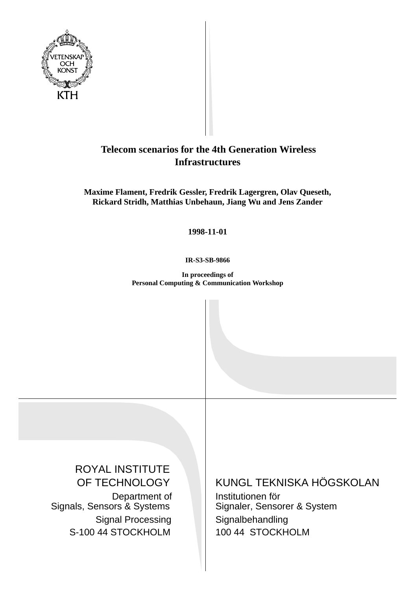

# **Telecom scenarios for the 4th Generation Wireless Infrastructures**

**Maxime Flament, Fredrik Gessler, Fredrik Lagergren, Olav Queseth, Rickard Stridh, Matthias Unbehaun, Jiang Wu and Jens Zander**

**1998-11-01**

**IR-S3-SB-9866**

**In proceedings of Personal Computing & Communication Workshop**

ROYAL INSTITUTE OF TECHNOLOGY Department of Signals, Sensors & Systems Signal Processing S-100 44 STOCKHOLM

KUNGL TEKNISKA HÖGSKOLAN

Institutionen för Signaler, Sensorer & System Signalbehandling 100 44 STOCKHOLM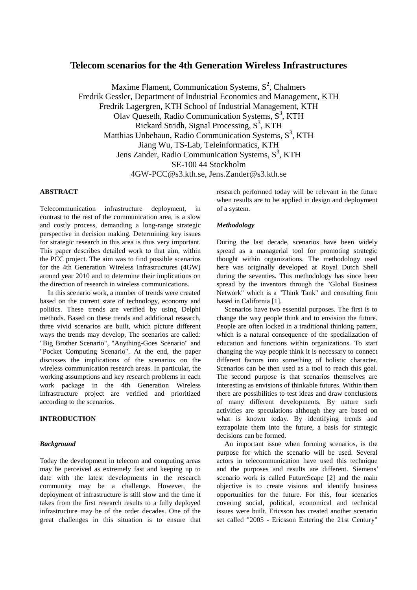# **Telecom scenarios for the 4th Generation Wireless Infrastructures**

Maxime Flament, Communication Systems,  $S^2$ , Chalmers Fredrik Gessler, Department of Industrial Economics and Management, KTH Fredrik Lagergren, KTH School of Industrial Management, KTH Olav Queseth, Radio Communication Systems, S<sup>3</sup>, KTH Rickard Stridh, Signal Processing,  $S<sup>3</sup>$ , KTH Matthias Unbehaun, Radio Communication Systems, S<sup>3</sup>, KTH Jiang Wu, TS-Lab, Teleinformatics, KTH Jens Zander, Radio Communication Systems, S<sup>3</sup>, KTH SE-100 44 Stockholm 4GW-PCC@s3.kth.se, Jens.Zander@s3.kth.se

# **ABSTRACT**

Telecommunication infrastructure deployment, in contrast to the rest of the communication area, is a slow and costly process, demanding a long-range strategic perspective in decision making. Determining key issues for strategic research in this area is thus very important. This paper describes detailed work to that aim, within the PCC project. The aim was to find possible scenarios for the 4th Generation Wireless Infrastructures (4GW) around year 2010 and to determine their implications on the direction of research in wireless communications.

In this scenario work, a number of trends were created based on the current state of technology, economy and politics. These trends are verified by using Delphi methods. Based on these trends and additional research, three vivid scenarios are built, which picture different ways the trends may develop, The scenarios are called: "Big Brother Scenario", "Anything-Goes Scenario" and "Pocket Computing Scenario". At the end, the paper discusses the implications of the scenarios on the wireless communication research areas. In particular, the working assumptions and key research problems in each work package in the 4th Generation Wireless Infrastructure project are verified and prioritized according to the scenarios.

# **INTRODUCTION**

#### *Background*

Today the development in telecom and computing areas may be perceived as extremely fast and keeping up to date with the latest developments in the research community may be a challenge. However, the deployment of infrastructure is still slow and the time it takes from the first research results to a fully deployed infrastructure may be of the order decades. One of the great challenges in this situation is to ensure that

research performed today will be relevant in the future when results are to be applied in design and deployment of a system.

#### *Methodology*

During the last decade, scenarios have been widely spread as a managerial tool for promoting strategic thought within organizations. The methodology used here was originally developed at Royal Dutch Shell during the seventies. This methodology has since been spread by the inventors through the "Global Business Network" which is a "Think Tank" and consulting firm based in California [1].

Scenarios have two essential purposes. The first is to change the way people think and to envision the future. People are often locked in a traditional thinking pattern, which is a natural consequence of the specialization of education and functions within organizations. To start changing the way people think it is necessary to connect different factors into something of holistic character. Scenarios can be then used as a tool to reach this goal. The second purpose is that scenarios themselves are interesting as envisions of thinkable futures. Within them there are possibilities to test ideas and draw conclusions of many different developments. By nature such activities are speculations although they are based on what is known today. By identifying trends and extrapolate them into the future, a basis for strategic decisions can be formed.

An important issue when forming scenarios, is the purpose for which the scenario will be used. Several actors in telecommunication have used this technique and the purposes and results are different. Siemens' scenario work is called FutureScape [2] and the main objective is to create visions and identify business opportunities for the future. For this, four scenarios covering social, political, economical and technical issues were built. Ericsson has created another scenario set called "2005 - Ericsson Entering the 21st Century"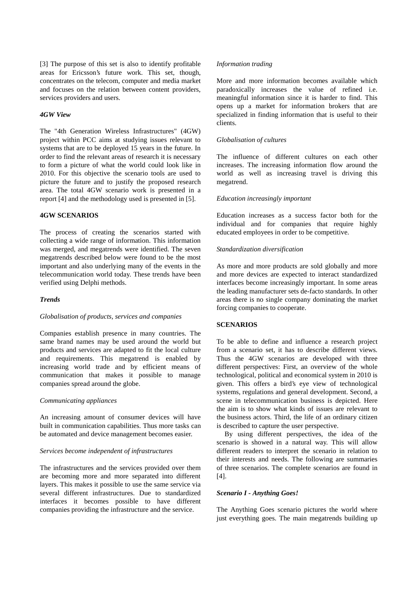[3] The purpose of this set is also to identify profitable areas for Ericsson's future work. This set, though, concentrates on the telecom, computer and media market and focuses on the relation between content providers, services providers and users.

# *4GW View*

The "4th Generation Wireless Infrastructures" (4GW) project within PCC aims at studying issues relevant to systems that are to be deployed 15 years in the future. In order to find the relevant areas of research it is necessary to form a picture of what the world could look like in 2010. For this objective the scenario tools are used to picture the future and to justify the proposed research area. The total 4GW scenario work is presented in a report [4] and the methodology used is presented in [5].

# **4GW SCENARIOS**

The process of creating the scenarios started with collecting a wide range of information. This information was merged, and megatrends were identified. The seven megatrends described below were found to be the most important and also underlying many of the events in the telecommunication world today. These trends have been verified using Delphi methods.

#### *Trends*

#### *Globalisation of products, services and companies*

Companies establish presence in many countries. The same brand names may be used around the world but products and services are adapted to fit the local culture and requirements. This megatrend is enabled by increasing world trade and by efficient means of communication that makes it possible to manage companies spread around the globe.

#### *Communicating appliances*

An increasing amount of consumer devices will have built in communication capabilities. Thus more tasks can be automated and device management becomes easier.

#### *Services become independent of infrastructures*

The infrastructures and the services provided over them are becoming more and more separated into different layers. This makes it possible to use the same service via several different infrastructures. Due to standardized interfaces it becomes possible to have different companies providing the infrastructure and the service.

#### *Information trading*

More and more information becomes available which paradoxically increases the value of refined i.e. meaningful information since it is harder to find. This opens up a market for information brokers that are specialized in finding information that is useful to their clients.

#### *Globalisation of cultures*

The influence of different cultures on each other increases. The increasing information flow around the world as well as increasing travel is driving this megatrend.

#### *Education increasingly important*

Education increases as a success factor both for the individual and for companies that require highly educated employees in order to be competitive.

#### *Standardization diversification*

As more and more products are sold globally and more and more devices are expected to interact standardized interfaces become increasingly important. In some areas the leading manufacturer sets de-facto standards. In other areas there is no single company dominating the market forcing companies to cooperate.

# **SCENARIOS**

To be able to define and influence a research project from a scenario set, it has to describe different views. Thus the 4GW scenarios are developed with three different perspectives: First, an overview of the whole technological, political and economical system in 2010 is given. This offers a bird's eye view of technological systems, regulations and general development. Second, a scene in telecommunication business is depicted. Here the aim is to show what kinds of issues are relevant to the business actors. Third, the life of an ordinary citizen is described to capture the user perspective.

By using different perspectives, the idea of the scenario is showed in a natural way. This will allow different readers to interpret the scenario in relation to their interests and needs. The following are summaries of three scenarios. The complete scenarios are found in [4].

#### *Scenario I - Anything Goes!*

The Anything Goes scenario pictures the world where just everything goes. The main megatrends building up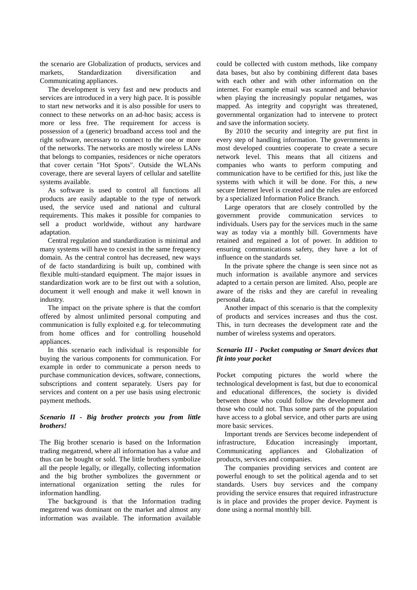the scenario are Globalization of products, services and markets, Standardization diversification and Communicating appliances.

The development is very fast and new products and services are introduced in a very high pace. It is possible to start new networks and it is also possible for users to connect to these networks on an ad-hoc basis; access is more or less free. The requirement for access is possession of a (generic) broadband access tool and the right software, necessary to connect to the one or more of the networks. The networks are mostly wireless LANs that belongs to companies, residences or niche operators that cover certain "Hot Spots". Outside the WLANs coverage, there are several layers of cellular and satellite systems available.

As software is used to control all functions all products are easily adaptable to the type of network used, the service used and national and cultural requirements. This makes it possible for companies to sell a product worldwide, without any hardware adaptation.

Central regulation and standardization is minimal and many systems will have to coexist in the same frequency domain. As the central control has decreased, new ways of de facto standardizing is built up, combined with flexible multi-standard equipment. The major issues in standardization work are to be first out with a solution, document it well enough and make it well known in industry.

The impact on the private sphere is that the comfort offered by almost unlimited personal computing and communication is fully exploited e.g. for telecommuting from home offices and for controlling household appliances.

In this scenario each individual is responsible for buying the various components for communication. For example in order to communicate a person needs to purchase communication devices, software, connections, subscriptions and content separately. Users pay for services and content on a per use basis using electronic payment methods.

# *Scenario II - Big brother protects you from little brothers!*

The Big brother scenario is based on the Information trading megatrend, where all information has a value and thus can be bought or sold. The little brothers symbolize all the people legally, or illegally, collecting information and the big brother symbolizes the government or international organization setting the rules for information handling.

The background is that the Information trading megatrend was dominant on the market and almost any information was available. The information available could be collected with custom methods, like company data bases, but also by combining different data bases with each other and with other information on the internet. For example email was scanned and behavior when playing the increasingly popular netgames, was mapped. As integrity and copyright was threatened, governmental organization had to intervene to protect and save the information society.

By 2010 the security and integrity are put first in every step of handling information. The governments in most developed countries cooperate to create a secure network level. This means that all citizens and companies who wants to perform computing and communication have to be certified for this, just like the systems with which it will be done. For this, a new secure Internet level is created and the rules are enforced by a specialized Information Police Branch.

Large operators that are closely controlled by the government provide communication services to individuals. Users pay for the services much in the same way as today via a monthly bill. Governments have retained and regained a lot of power. In addition to ensuring communications safety, they have a lot of influence on the standards set.

In the private sphere the change is seen since not as much information is available anymore and services adapted to a certain person are limited. Also, people are aware of the risks and they are careful in revealing personal data.

Another impact of this scenario is that the complexity of products and services increases and thus the cost. This, in turn decreases the development rate and the number of wireless systems and operators.

# *Scenario III - Pocket computing or Smart devices that fit into your pocket*

Pocket computing pictures the world where the technological development is fast, but due to economical and educational differences, the society is divided between those who could follow the development and those who could not. Thus some parts of the population have access to a global service, and other parts are using more basic services.

Important trends are Services become independent of infrastructure, Education increasingly important, Communicating appliances and Globalization of products, services and companies.

The companies providing services and content are powerful enough to set the political agenda and to set standards. Users buy services and the company providing the service ensures that required infrastructure is in place and provides the proper device. Payment is done using a normal monthly bill.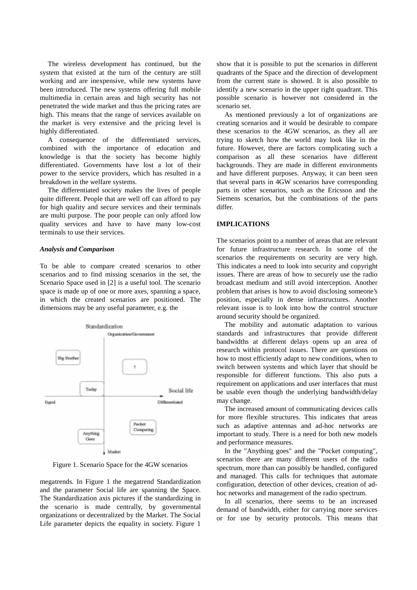The wireless development has continued, but the system that existed at the turn of the century are still working and are inexpensive, while new systems have been introduced. The new systems offering full mobile multimedia in certain areas and high security has not penetrated the wide market and thus the pricing rates are high. This means that the range of services available on the market is very extensive and the pricing level is highly differentiated.

A consequence of the differentiated services, combined with the importance of education and knowledge is that the society has become highly differentiated. Governments have lost a lot of their power to the service providers, which has resulted in a breakdown in the welfare systems.

The differentiated society makes the lives of people quite different. People that are well off can afford to pay for high quality and secure services and their terminals are multi purpose. The poor people can only afford low quality services and have to have many low-cost terminals to use their services.

#### *Analysis and Comparison*

To be able to compare created scenarios to other scenarios and to find missing scenarios in the set, the Scenario Space used in [2] is a useful tool. The scenario space is made up of one or more axes, spanning a space, in which the created scenarios are positioned. The dimensions may be any useful parameter, e.g. the



Figure 1. Scenario Space for the 4GW scenarios

megatrends. In Figure 1 the megatrend Standardization and the parameter Social life are spanning the Space. The Standardization axis pictures if the standardizing in the scenario is made centrally, by governmental organizations or decentralized by the Market. The Social Life parameter depicts the equality in society. Figure 1

show that it is possible to put the scenarios in different quadrants of the Space and the direction of development from the current state is showed. It is also possible to identify a new scenario in the upper right quadrant. This possible scenario is however not considered in the scenario set.

As mentioned previously a lot of organizations are creating scenarios and it would be desirable to compare these scenarios to the 4GW scenarios, as they all are trying to sketch how the world may look like in the future. However, there are factors complicating such a comparison as all these scenarios have different backgrounds. They are made in different environments and have different purposes. Anyway, it can been seen that several parts in 4GW scenarios have corresponding parts in other scenarios, such as the Ericsson and the Siemens scenarios, but the combinations of the parts differ.

#### **IMPLICATIONS**

The scenarios point to a number of areas that are relevant for future infrastructure research. In some of the scenarios the requirements on security are very high. This indicates a need to look into security and copyright issues. There are areas of how to securely use the radio broadcast medium and still avoid interception. Another problem that arises is how to avoid disclosing someone's position, especially in dense infrastructures. Another relevant issue is to look into how the control structure around security should be organized.

The mobility and automatic adaptation to various standards and infrastructures that provide different bandwidths at different delays opens up an area of research within protocol issues. There are questions on how to most efficiently adapt to new conditions, when to switch between systems and which layer that should be responsible for different functions. This also puts a requirement on applications and user interfaces that must be usable even though the underlying bandwidth/delay may change.

The increased amount of communicating devices calls for more flexible structures. This indicates that areas such as adaptive antennas and ad-hoc networks are important to study. There is a need for both new models and performance measures.

In the "Anything goes" and the "Pocket computing", scenarios there are many different users of the radio spectrum, more than can possibly be handled, configured and managed. This calls for techniques that automate configuration, detection of other devices, creation of adhoc networks and management of the radio spectrum.

In all scenarios, there seems to be an increased demand of bandwidth, either for carrying more services or for use by security protocols. This means that